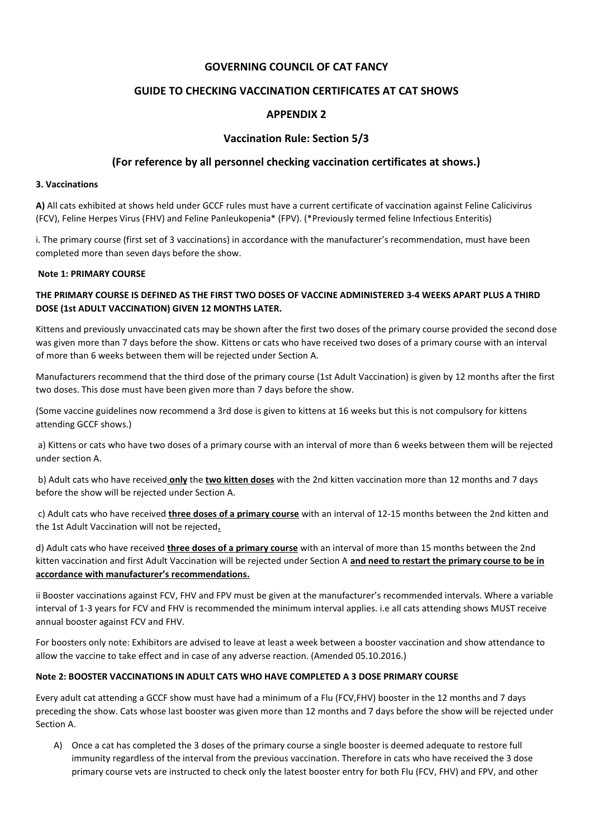## **GOVERNING COUNCIL OF CAT FANCY**

# **GUIDE TO CHECKING VACCINATION CERTIFICATES AT CAT SHOWS**

# **APPENDIX 2**

## **Vaccination Rule: Section 5/3**

## **(For reference by all personnel checking vaccination certificates at shows.)**

### **3. Vaccinations**

**A)** All cats exhibited at shows held under GCCF rules must have a current certificate of vaccination against Feline Calicivirus (FCV), Feline Herpes Virus (FHV) and Feline Panleukopenia\* (FPV). (\*Previously termed feline Infectious Enteritis)

i. The primary course (first set of 3 vaccinations) in accordance with the manufacturer's recommendation, must have been completed more than seven days before the show.

### **Note 1: PRIMARY COURSE**

## **THE PRIMARY COURSE IS DEFINED AS THE FIRST TWO DOSES OF VACCINE ADMINISTERED 3-4 WEEKS APART PLUS A THIRD DOSE (1st ADULT VACCINATION) GIVEN 12 MONTHS LATER.**

Kittens and previously unvaccinated cats may be shown after the first two doses of the primary course provided the second dose was given more than 7 days before the show. Kittens or cats who have received two doses of a primary course with an interval of more than 6 weeks between them will be rejected under Section A.

Manufacturers recommend that the third dose of the primary course (1st Adult Vaccination) is given by 12 months after the first two doses. This dose must have been given more than 7 days before the show.

(Some vaccine guidelines now recommend a 3rd dose is given to kittens at 16 weeks but this is not compulsory for kittens attending GCCF shows.)

a) Kittens or cats who have two doses of a primary course with an interval of more than 6 weeks between them will be rejected under section A.

b) Adult cats who have received **only** the **two kitten doses** with the 2nd kitten vaccination more than 12 months and 7 days before the show will be rejected under Section A.

c) Adult cats who have received **three doses of a primary course** with an interval of 12-15 months between the 2nd kitten and the 1st Adult Vaccination will not be rejected**.** 

d) Adult cats who have received **three doses of a primary course** with an interval of more than 15 months between the 2nd kitten vaccination and first Adult Vaccination will be rejected under Section A **and need to restart the primary course to be in accordance with manufacturer's recommendations.** 

ii Booster vaccinations against FCV, FHV and FPV must be given at the manufacturer's recommended intervals. Where a variable interval of 1-3 years for FCV and FHV is recommended the minimum interval applies. i.e all cats attending shows MUST receive annual booster against FCV and FHV.

For boosters only note: Exhibitors are advised to leave at least a week between a booster vaccination and show attendance to allow the vaccine to take effect and in case of any adverse reaction. (Amended 05.10.2016.)

### **Note 2: BOOSTER VACCINATIONS IN ADULT CATS WHO HAVE COMPLETED A 3 DOSE PRIMARY COURSE**

Every adult cat attending a GCCF show must have had a minimum of a Flu (FCV,FHV) booster in the 12 months and 7 days preceding the show. Cats whose last booster was given more than 12 months and 7 days before the show will be rejected under Section A.

A) Once a cat has completed the 3 doses of the primary course a single booster is deemed adequate to restore full immunity regardless of the interval from the previous vaccination. Therefore in cats who have received the 3 dose primary course vets are instructed to check only the latest booster entry for both Flu (FCV, FHV) and FPV, and other